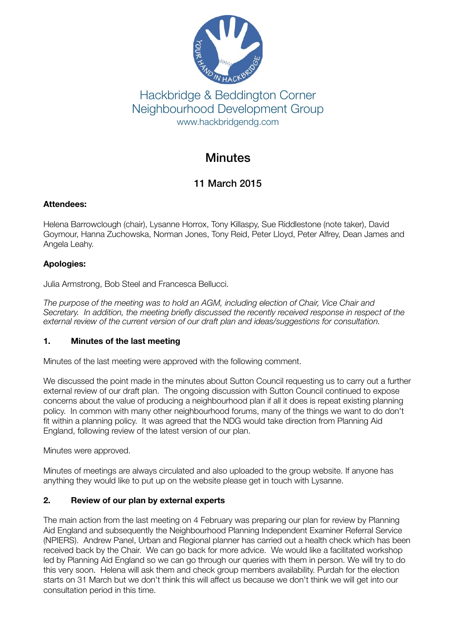

## Hackbridge & Beddington Corner Neighbourhood Development Group www.hackbridgendg.com

# **Minutes**

## 11 March 2015

#### **Attendees:**

Helena Barrowclough (chair), Lysanne Horrox, Tony Killaspy, Sue Riddlestone (note taker), David Goymour, Hanna Zuchowska, Norman Jones, Tony Reid, Peter Lloyd, Peter Alfrey, Dean James and Angela Leahy.

### **Apologies:**

Julia Armstrong, Bob Steel and Francesca Bellucci.

*The purpose of the meeting was to hold an AGM, including election of Chair, Vice Chair and Secretary. In addition, the meeting briefly discussed the recently received response in respect of the*  external review of the current version of our draft plan and ideas/suggestions for consultation.

#### **1. Minutes of the last meeting**

Minutes of the last meeting were approved with the following comment.

We discussed the point made in the minutes about Sutton Council requesting us to carry out a further external review of our draft plan. The ongoing discussion with Sutton Council continued to expose concerns about the value of producing a neighbourhood plan if all it does is repeat existing planning policy. In common with many other neighbourhood forums, many of the things we want to do don't fit within a planning policy. It was agreed that the NDG would take direction from Planning Aid England, following review of the latest version of our plan.

Minutes were approved.

Minutes of meetings are always circulated and also uploaded to the group website. If anyone has anything they would like to put up on the website please get in touch with Lysanne.

#### **2. Review of our plan by external experts**

The main action from the last meeting on 4 February was preparing our plan for review by Planning Aid England and subsequently the Neighbourhood Planning Independent Examiner Referral Service (NPIERS). Andrew Panel, Urban and Regional planner has carried out a health check which has been received back by the Chair. We can go back for more advice. We would like a facilitated workshop led by Planning Aid England so we can go through our queries with them in person. We will try to do this very soon. Helena will ask them and check group members availability. Purdah for the election starts on 31 March but we don't think this will affect us because we don't think we will get into our consultation period in this time.